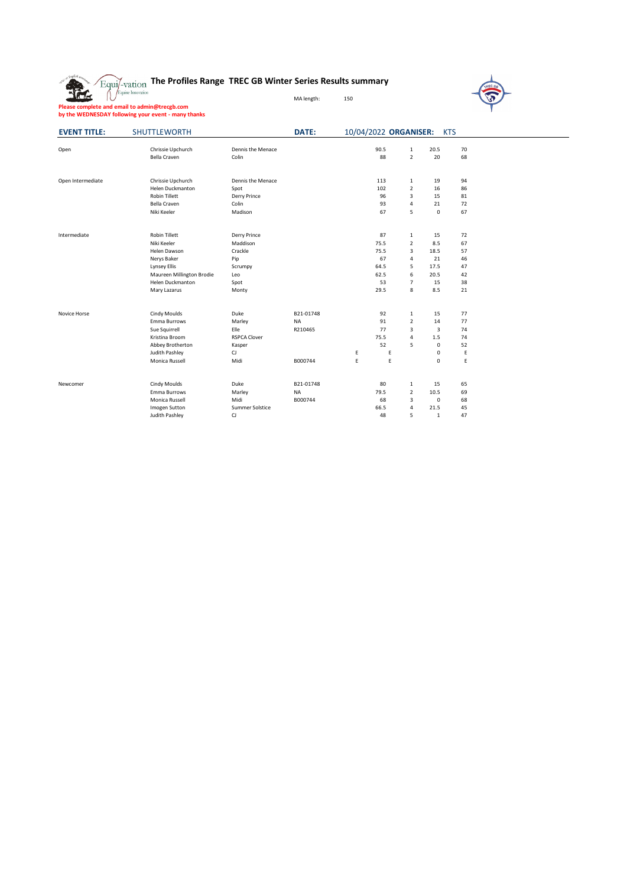## **The Profiles Range TREC GB Winter Series Results summary**



MA length: 150

| <b>EVENT TITLE:</b> | SHUTTLEWORTH              |                     | DATE:     |   | 10/04/2022 ORGANISER: |                         |                         | <b>KTS</b> |
|---------------------|---------------------------|---------------------|-----------|---|-----------------------|-------------------------|-------------------------|------------|
|                     |                           |                     |           |   |                       |                         |                         |            |
| Open                | Chrissie Upchurch         | Dennis the Menace   |           |   | 90.5                  | 1                       | 20.5                    | 70         |
|                     | Bella Craven              | Colin               |           |   | 88                    | $\overline{2}$          | 20                      | 68         |
| Open Intermediate   | Chrissie Upchurch         | Dennis the Menace   |           |   | 113                   | $\mathbf{1}$            | 19                      | 94         |
|                     | Helen Duckmanton          | Spot                |           |   | 102                   | $\overline{2}$          | 16                      | 86         |
|                     | <b>Robin Tillett</b>      | Derry Prince        |           |   | 96                    | $\overline{\mathbf{3}}$ | 15                      | 81         |
|                     | <b>Bella Craven</b>       | Colin               |           |   | 93                    | $\overline{4}$          | 21                      | 72         |
|                     | Niki Keeler               | Madison             |           |   | 67                    | 5                       | $\mathsf{O}\xspace$     | 67         |
| Intermediate        | <b>Robin Tillett</b>      | Derry Prince        |           |   | 87                    | $\mathbf{1}$            | 15                      | 72         |
|                     | Niki Keeler               | Maddison            |           |   | 75.5                  | $\overline{2}$          | 8.5                     | 67         |
|                     | Helen Dawson              | Crackle             |           |   | 75.5                  | $\overline{3}$          | 18.5                    | 57         |
|                     | Nerys Baker               | Pip                 |           |   | 67                    | $\overline{4}$          | 21                      | 46         |
|                     | Lynsey Ellis              | Scrumpy             |           |   | 64.5                  | 5                       | 17.5                    | 47         |
|                     | Maureen Millington Brodie | Leo                 |           |   | 62.5                  | 6                       | 20.5                    | 42         |
|                     | Helen Duckmanton          | Spot                |           |   | 53                    | $\overline{7}$          | 15                      | 38         |
|                     | Mary Lazarus              | Monty               |           |   | 29.5                  | 8                       | 8.5                     | 21         |
| Novice Horse        | Cindy Moulds              | Duke                | B21-01748 |   | 92                    | $\mathbf{1}$            | 15                      | 77         |
|                     | Emma Burrows              | Marley              | <b>NA</b> |   | 91                    | $\overline{2}$          | 14                      | 77         |
|                     | Sue Squirrell             | Elle                | R210465   |   | 77                    | $\overline{3}$          | $\overline{\mathbf{3}}$ | 74         |
|                     | Kristina Broom            | <b>RSPCA Clover</b> |           |   | 75.5                  | 4                       | 1.5                     | 74         |
|                     | Abbey Brotherton          | Kasper              |           |   | 52                    | 5                       | $\mathbf 0$             | 52         |
|                     | Judith Pashley            | CJ                  |           | Ε | Ε                     |                         | $\pmb{0}$               | E          |
|                     | Monica Russell            | Midi                | B000744   | E | E                     |                         | $\Omega$                | E          |
| Newcomer            | Cindy Moulds              | Duke                | B21-01748 |   | 80                    | $\mathbf{1}$            | 15                      | 65         |
|                     | Emma Burrows              | Marley              | <b>NA</b> |   | 79.5                  | $\overline{2}$          | 10.5                    | 69         |
|                     | Monica Russell            | Midi                | B000744   |   | 68                    | 3                       | $\mathsf 0$             | 68         |
|                     | Imogen Sutton             | Summer Solstice     |           |   | 66.5                  | $\overline{4}$          | 21.5                    | 45         |
|                     | Judith Pashley            | CJ                  |           |   | 48                    | 5                       | $\mathbf{1}$            | 47         |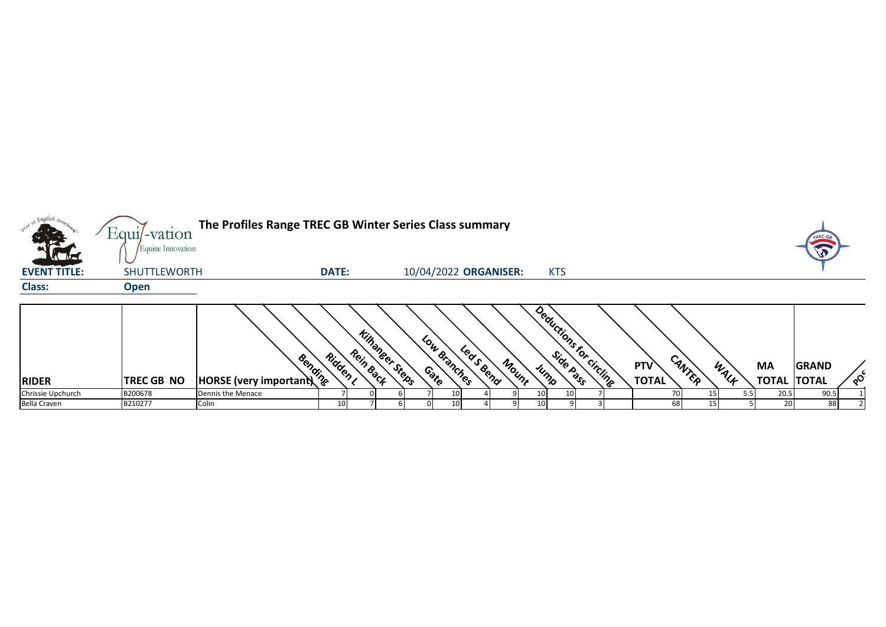| $\cdot e^{\lambda e^{\chi}}$ | Equil-vation                             | The Profiles Range TREC GB Winter Series Class summary |              |                                     |                       |           |       |                         |  |              |        |      |                    | <b>TREC G</b> |          |
|------------------------------|------------------------------------------|--------------------------------------------------------|--------------|-------------------------------------|-----------------------|-----------|-------|-------------------------|--|--------------|--------|------|--------------------|---------------|----------|
| <b>EVENT TITLE:</b>          | Equine Innovation<br><b>SHUTTLEWORTH</b> |                                                        | <b>DATE:</b> |                                     | 10/04/2022 ORGANISER: |           |       | <b>KTS</b>              |  |              |        |      |                    | $\sqrt{3}$    |          |
| <b>Class:</b>                | <b>Open</b>                              |                                                        |              |                                     |                       |           |       |                         |  |              |        |      |                    |               |          |
|                              |                                          | <b>Research Control</b><br>HORSE (very important)      | Ridden ,     | <b>Killanger Steps</b><br>Rein Back | Low Branches          | Leas Bend | Mount | Deductions for circling |  | <b>PTV</b>   | CANTER | WALF | <b>MA</b>          | <b>GRAND</b>  |          |
| <b>RIDER</b>                 | <b>TREC GB NO</b>                        |                                                        |              |                                     |                       |           |       |                         |  | <b>TOTAL</b> |        |      | <b>TOTAL TOTAL</b> |               | $\delta$ |
| Chrissie Upchurch            | B200678                                  | Dennis the Menace                                      |              |                                     |                       |           |       |                         |  |              |        |      | 20.5               | 90.5          |          |
| <b>Bella Craven</b>          | B210277                                  | Colin                                                  | 10           |                                     | 10 <sup>1</sup>       |           |       |                         |  | 68           |        |      | 20 <sub>1</sub>    | 88            |          |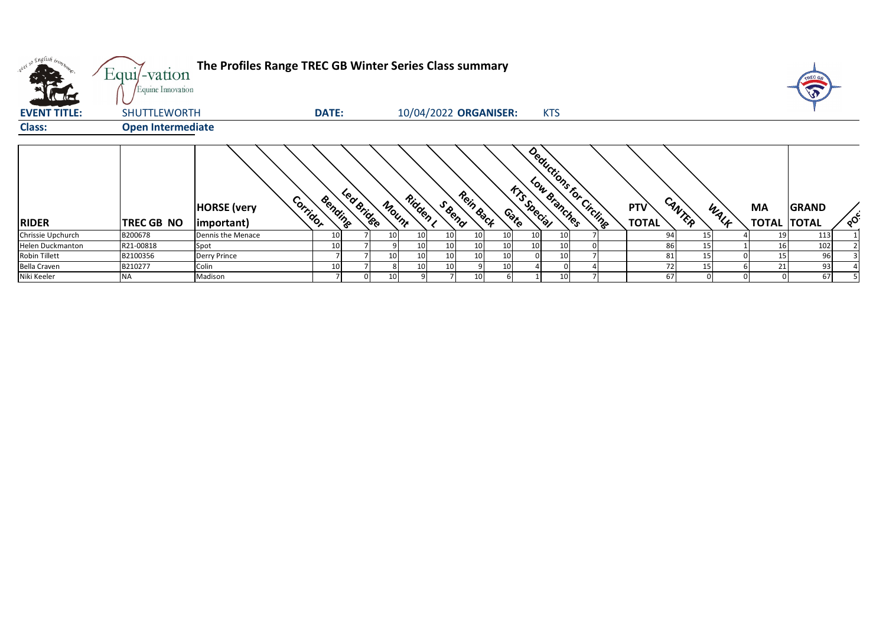| what so English tront<br>$\mathbf{A}$ | Equi/-vation<br>Equine Innovation | The Profiles Range TREC GB Winter Series Class summary |                 |            |                 |                 |                       |                 |                 |                              |                         |  |                     |        |      |                                 | TREC G<br>G  |          |
|---------------------------------------|-----------------------------------|--------------------------------------------------------|-----------------|------------|-----------------|-----------------|-----------------------|-----------------|-----------------|------------------------------|-------------------------|--|---------------------|--------|------|---------------------------------|--------------|----------|
| <b>EVENT TITLE:</b>                   | SHUTTLEWORTH                      |                                                        | <b>DATE:</b>    |            |                 |                 | 10/04/2022 ORGANISER: |                 |                 |                              | <b>KTS</b>              |  |                     |        |      |                                 |              |          |
| <b>Class:</b>                         | <b>Open Intermediate</b>          |                                                        |                 |            |                 |                 |                       |                 |                 |                              |                         |  |                     |        |      |                                 |              |          |
| <b>RIDER</b>                          | TREC GB NO                        | Corrigor<br><b>HORSE</b> (very<br>important)           | Bending         | Led Bridge | Mount           | Ridden ,        | S Beno                | Rein Back       |                 | <b>frisspecial</b><br>Contro | Deductions for Circuits |  | PTV<br><b>TOTAL</b> | CANTER | WALK | <b>MA</b><br><b>TOTAL TOTAL</b> | <b>GRAND</b> | $\delta$ |
| Chrissie Upchurch                     | B200678                           | Dennis the Menace                                      | 10              |            | 10 <sup>1</sup> | 10 <sup>1</sup> | 10 <sup>1</sup>       | 10 <sup>1</sup> | 10              | 10 <sub>1</sub>              | 10                      |  | 94                  | 15     |      | 19                              | 113          |          |
| <b>Helen Duckmanton</b>               | R21-00818                         | Spot                                                   | 10 <sup>1</sup> |            |                 | 10              | 10 <sup>1</sup>       | 10 <sup>1</sup> | 10 <sup>1</sup> | 10                           | 10                      |  | 86                  | 15     |      | 16                              | 102          |          |
| <b>Robin Tillett</b>                  | B2100356                          | <b>Derry Prince</b>                                    |                 |            | 10 <sup>1</sup> | 10              | 10 <sub>1</sub>       | 10 <sup>1</sup> | 10              |                              |                         |  | 81                  |        |      | 15                              | 96           |          |
| Bella Craven                          | B210277                           | Colin                                                  | 10              |            |                 | 10 <sup>1</sup> | 10 <sub>1</sub>       |                 | 10              |                              |                         |  | 72                  |        |      | 21                              | 93           |          |
| Niki Keeler                           | ΝA                                | Madison                                                |                 |            | 10 <sup>1</sup> |                 |                       | 10 <sup>°</sup> |                 |                              |                         |  | 67                  |        |      |                                 | 67           |          |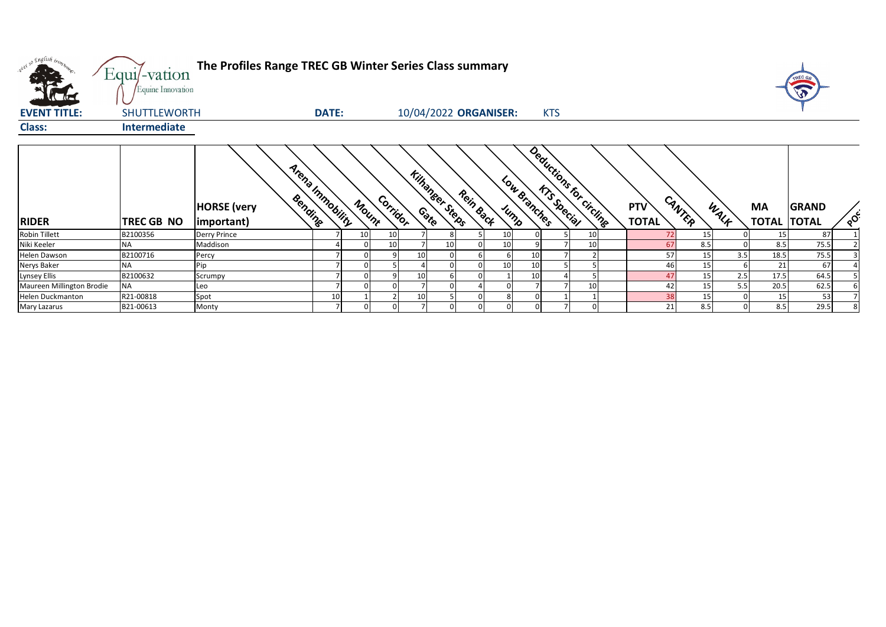| w <sup>ed 50</sup> English bronz.<br><b>ALCOHOL:</b><br>$\sqrt{10}$ | Equi/-vation<br>Equine Innovation | The Profiles Range TREC GB Winter Series Class summary |       |       |          |    |                        |                       |      |              |            |                          |                            |        |      |                                 | TREC GA      |          |
|---------------------------------------------------------------------|-----------------------------------|--------------------------------------------------------|-------|-------|----------|----|------------------------|-----------------------|------|--------------|------------|--------------------------|----------------------------|--------|------|---------------------------------|--------------|----------|
| <b>EVENT TITLE:</b>                                                 | <b>SHUTTLEWORTH</b>               |                                                        | DATE: |       |          |    |                        | 10/04/2022 ORGANISER: |      |              | <b>KTS</b> |                          |                            |        |      |                                 |              |          |
| <b>Class:</b>                                                       | <b>Intermediate</b>               |                                                        |       |       |          |    |                        |                       |      |              |            |                          |                            |        |      |                                 |              |          |
| <b>RIDER</b>                                                        | TREC GB NO                        | Arena Inmobility<br><b>HORSE</b> (very<br> important)  |       | Mount | Corridor |    | <b>Kilhanger Steps</b> | Rein Back             | Jump | Low Branches |            | Deductions for circlines | <b>PTV</b><br><b>TOTAL</b> | CANTER | WALK | <b>MA</b><br><b>TOTAL TOTAL</b> | <b>GRAND</b> | $\delta$ |
| <b>Robin Tillett</b>                                                | B2100356                          | <b>Derry Prince</b>                                    |       | 10    | 10       |    |                        |                       | 10   |              |            |                          | 72                         | 15     |      | 15                              | 87           |          |
| Niki Keeler                                                         | ΝA                                | Maddison                                               |       |       | 10       |    | 10                     |                       | 10   |              |            |                          | 67                         | 8.5    |      | 8.5                             | 75.5         |          |
| Helen Dawson                                                        | B2100716                          | Percy                                                  |       |       |          | 10 |                        |                       |      |              |            |                          | 57                         | 15     | 3.5  | 18.5                            | 75.5         |          |
| Nerys Baker                                                         | ΝA                                | Pip                                                    |       |       |          |    |                        |                       | 10   |              |            |                          | 46                         | 15     |      | 21                              | 67           |          |
| Lynsey Ellis                                                        | B2100632                          | Scrumpy                                                |       |       |          | 10 |                        |                       |      |              |            |                          | 47                         | 15     | 2.5  | 17.5                            | 64.5         |          |
| Maureen Millington Brodie                                           | <b>NA</b>                         | Leo                                                    |       |       |          |    |                        |                       |      |              |            |                          | 42                         | 15     | 5.5  | 20.5                            | 62.5         |          |
| Helen Duckmanton                                                    | R21-00818                         | Spot                                                   | 10    |       |          | 10 |                        |                       |      |              |            |                          | 38                         | 15     |      | 15                              | 53           |          |
| Mary Lazarus                                                        | B21-00613                         | Monty                                                  |       |       |          |    |                        |                       |      |              |            |                          | 21                         | 8.5    |      | 8.5                             | 29.5         |          |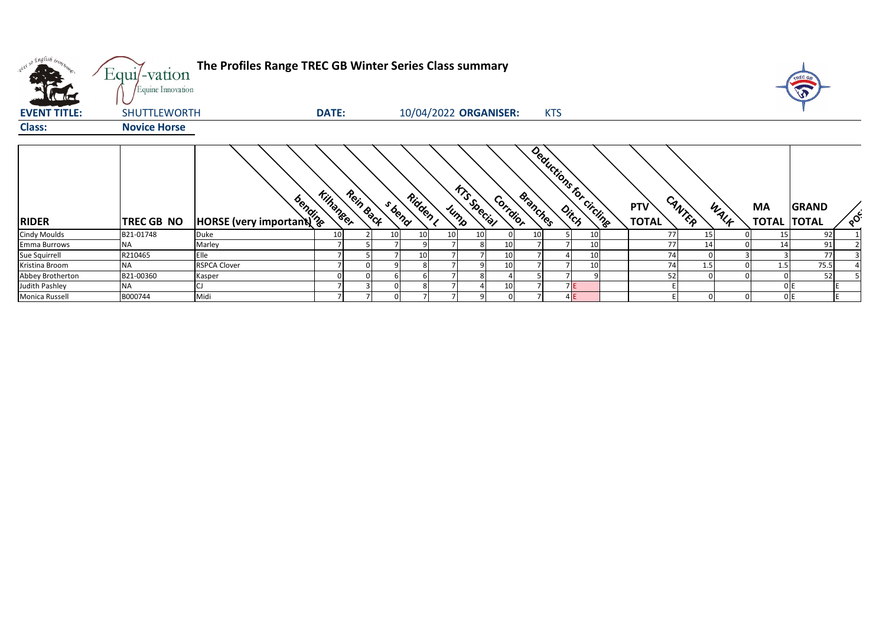| w <sup>ed 50</sup> English bronze | Equi/-vation<br>Equine Innovation | The Profiles Range TREC GB Winter Series Class summary                           |                               |                    |      |                                |          |                          |                                      |                   |     | TREC GA                                        |
|-----------------------------------|-----------------------------------|----------------------------------------------------------------------------------|-------------------------------|--------------------|------|--------------------------------|----------|--------------------------|--------------------------------------|-------------------|-----|------------------------------------------------|
| <b>EVENT TITLE:</b>               | <b>SHUTTLEWORTH</b>               |                                                                                  | <b>DATE:</b>                  |                    |      | 10/04/2022 ORGANISER:          |          | <b>KTS</b>               |                                      |                   |     |                                                |
| <b>Class:</b>                     | <b>Novice Horse</b>               |                                                                                  |                               |                    |      |                                |          |                          |                                      |                   |     |                                                |
| <b>RIDER</b>                      | TREC GB NO                        | <b>And You you would be a finding to the South of the South Strategy Article</b> | Rein Back<br><b>Kilhanger</b> | Ridden ,<br>S bend | Jump | <b>KTS Special</b><br>Corrdior | Branches | Deductions for circlings | CANTER<br><b>PTV</b><br><b>TOTAL</b> | <b>MA</b><br>WALF |     | <b>GRAND</b><br>$\delta$<br><b>TOTAL TOTAL</b> |
| <b>Cindy Moulds</b>               | B21-01748                         | Duke                                                                             | 10                            | 10<br>10           |      |                                | 10       | 10                       | 77                                   | 15                | 15  | 92                                             |
| <b>Emma Burrows</b>               | <b>NA</b>                         | Marley                                                                           |                               |                    |      |                                |          | 10                       | 77                                   | 14                | 14  | 91                                             |
| Sue Squirrell                     | R210465                           | Elle                                                                             |                               | 10                 |      | 10                             |          | 10 <sub>1</sub>          | 74                                   |                   |     | 77                                             |
| Kristina Broom                    | <b>NA</b>                         | <b>RSPCA Clover</b>                                                              |                               |                    |      | 10                             |          | 10                       | 74                                   | 1.5               | 1.5 | 75.5                                           |
| Abbey Brotherton                  | B21-00360                         | Kasper                                                                           |                               |                    |      |                                |          |                          | 52                                   |                   |     | 52                                             |
| Judith Pashley                    | <b>NA</b>                         |                                                                                  |                               |                    |      | 10                             |          | <b>7E</b>                |                                      |                   | 0 E |                                                |
| Monica Russell                    | B000744                           | Midi                                                                             |                               |                    |      |                                |          | 4E                       |                                      |                   | 0E  | $\mathbf{r}$                                   |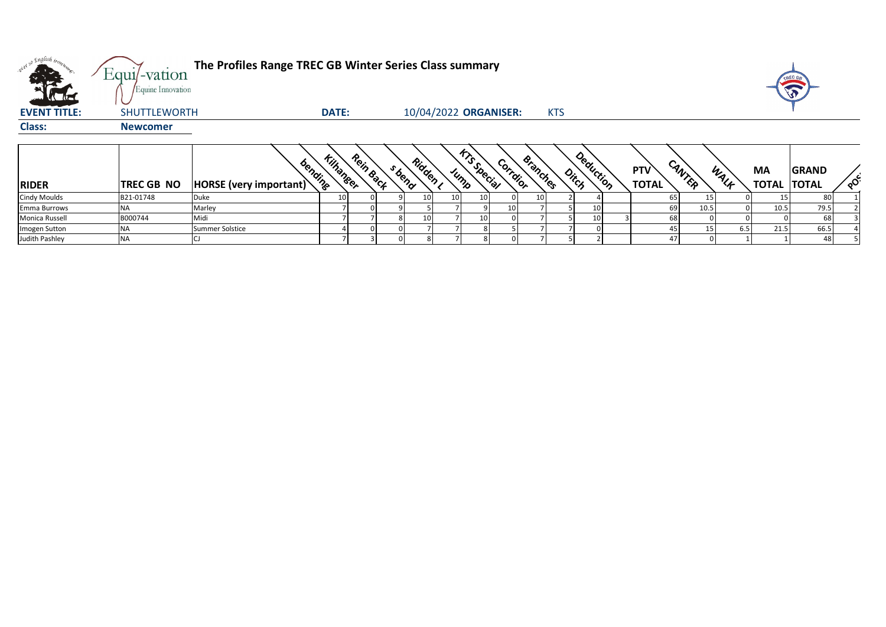| od so English bronz.<br>40.          | Equi/-vation                           | The Profiles Range TREC GB Winter Series Class summary |                               |                    |                       |                            |          |                 |            |           |                            |        |      |                    | TREC GA                      |          |
|--------------------------------------|----------------------------------------|--------------------------------------------------------|-------------------------------|--------------------|-----------------------|----------------------------|----------|-----------------|------------|-----------|----------------------------|--------|------|--------------------|------------------------------|----------|
| <b>VAC ALC</b>                       | Equine Innovation                      |                                                        |                               |                    |                       |                            |          |                 |            |           |                            |        |      |                    |                              |          |
| <b>EVENT TITLE:</b><br><b>Class:</b> | <b>SHUTTLEWORTH</b><br><b>Newcomer</b> |                                                        | <b>DATE:</b>                  |                    | 10/04/2022 ORGANISER: |                            |          |                 | <b>KTS</b> |           |                            |        |      |                    |                              |          |
| <b>RIDER</b>                         | <b>TREC GB NO</b>                      | bending<br>HORSE (very important)                      | Rein Back<br><b>Kilhaneer</b> | Ridden ,<br>s bend |                       | <b>KTS Special</b><br>Jump | Corrdior | <b>Branches</b> | Ditch      | Deduction | <b>PTV</b><br><b>TOTAL</b> | CANTER | WALK | MA<br><b>TOTAL</b> | <b>GRAND</b><br><b>TOTAL</b> | $\delta$ |
| <b>Cindy Moulds</b>                  | B21-01748                              | Duke                                                   | 10                            | 10                 | 10 <sup>1</sup>       | 10                         |          | 10 <sup>1</sup> |            |           | 65                         |        |      |                    | 80                           |          |
| Emma Burrows                         | <b>NA</b>                              | Marley                                                 |                               |                    |                       |                            | 10       |                 |            | 10        | 69                         | 10.5   |      | 10.5               | 79.5                         |          |
| Monica Russell                       | B000744                                | Midi                                                   |                               | 10                 |                       | 10                         |          |                 |            | 10        | 68                         |        |      |                    | 68                           |          |
| Imogen Sutton                        | <b>NA</b>                              | Summer Solstice                                        |                               |                    |                       |                            |          |                 |            |           |                            |        | 6.5  | 21.5               | 66.5                         |          |
| Judith Pashley                       | <b>NA</b>                              |                                                        |                               |                    | 8                     |                            |          |                 |            |           | 47                         |        |      |                    | 48                           |          |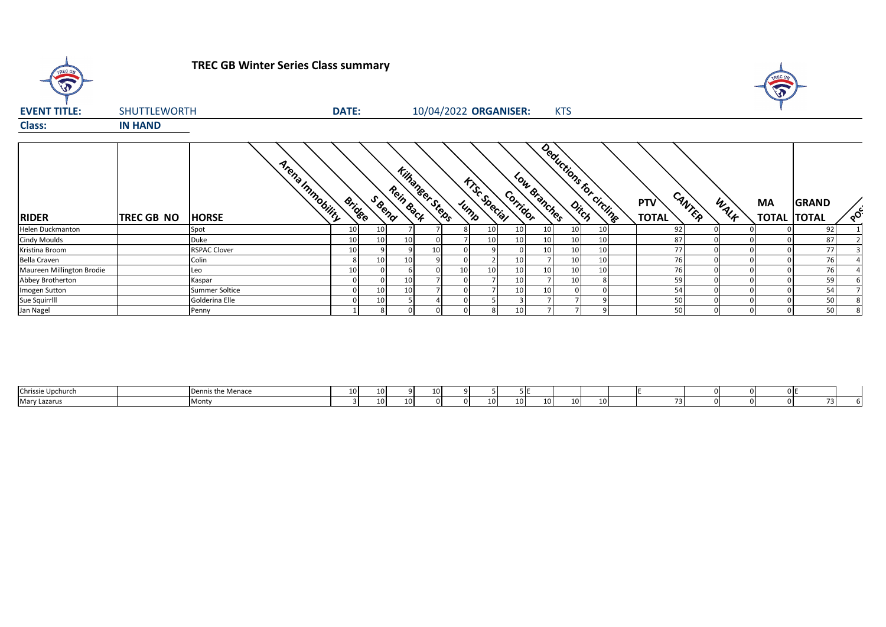

## **TREC GB Winter Series Class summary**



| <b>EVENT TITLE:</b>       | <b>SHUTTLEWORTH</b> |                                  | <b>DATE:</b>    |        |                               |    |                 | 10/04/2022 ORGANISER: |          |                 | <b>KTS</b>              |                 |                     |        |      |           |                                    |          |
|---------------------------|---------------------|----------------------------------|-----------------|--------|-------------------------------|----|-----------------|-----------------------|----------|-----------------|-------------------------|-----------------|---------------------|--------|------|-----------|------------------------------------|----------|
| <b>Class:</b>             | <b>IN HAND</b>      |                                  |                 |        |                               |    |                 |                       |          |                 |                         |                 |                     |        |      |           |                                    |          |
| <b>RIDER</b>              | <b>TREC GB NO</b>   | Arena Immobility<br><b>HORSE</b> | <b>Bridge</b>   | S Reno | Kilhangeer Steps<br>Rein Back |    | Jump            | <b>KTSC Speciel</b>   | Corridor | Low Branches    | Deductions for circling |                 | PTV<br><b>TOTAL</b> | CANTER | WALK | <b>MA</b> | <b>GRAND</b><br><b>TOTAL TOTAL</b> | $\infty$ |
| Helen Duckmanton          |                     | Spot                             | 10 <sub>1</sub> | 10     |                               |    |                 |                       | 10       | 10              | 10 <sup>1</sup>         | 10 <sub>1</sub> | 92                  |        |      |           | 92                                 |          |
| <b>Cindy Moulds</b>       |                     | Duke                             | 10 <sub>1</sub> | 10     | 10                            |    |                 |                       | 10       | 10 <sup>1</sup> | 10 <sup>1</sup>         | 10              | 87                  |        |      |           | 87                                 |          |
| Kristina Broom            |                     | <b>RSPAC Clover</b>              | 10              |        |                               | 10 |                 |                       |          | 10 <sup>1</sup> | 10 <sup>1</sup>         | 10              | 77                  |        |      |           | 77                                 |          |
| <b>Bella Craven</b>       |                     | Colin                            |                 | 10     | 10                            |    |                 |                       | 10       |                 | 10 <sup>1</sup>         | 10 <sub>1</sub> | 76                  |        |      |           | 76                                 |          |
| Maureen Millington Brodie |                     | Leo                              | 10              |        |                               |    | 10 <sub>1</sub> |                       | 10       | 10 <sup>1</sup> | 10 <sup>1</sup>         | 10              | 76                  |        |      |           | 76                                 |          |
| Abbey Brotherton          |                     | Kaspar                           |                 |        | 10                            |    |                 |                       | 10       |                 | 10 <sup>1</sup>         |                 | 59                  |        |      |           | 59                                 |          |
| Imogen Sutton             |                     | Summer Soltice                   |                 | 10     | 10                            |    |                 |                       | 10       | 10              |                         |                 | 54                  |        |      |           | 54                                 |          |
| Sue Squirrlll             |                     | Golderina Elle                   |                 | 10     |                               |    |                 |                       |          |                 |                         |                 | 50                  |        |      |           | 50                                 |          |
| Jan Nagel                 |                     | Penny                            |                 |        |                               |    |                 |                       | 10       |                 |                         |                 | 50                  |        |      |           | 50                                 |          |

| Chrissie Upchurc          | ivienac        | $\sim$<br>ᆚᄓ | 10 <sup>1</sup> |    |    |                 |                                    |  |  |  |     |          |
|---------------------------|----------------|--------------|-----------------|----|----|-----------------|------------------------------------|--|--|--|-----|----------|
| <b>Mar</b><br>v Lazarus i | .<br>$\cdot$ . |              | 10 <sup>1</sup> | 10 | n. | 10 <sup>1</sup> | 10 <sup>1</sup><br>10 <sub>1</sub> |  |  |  | - - | . .<br>. |